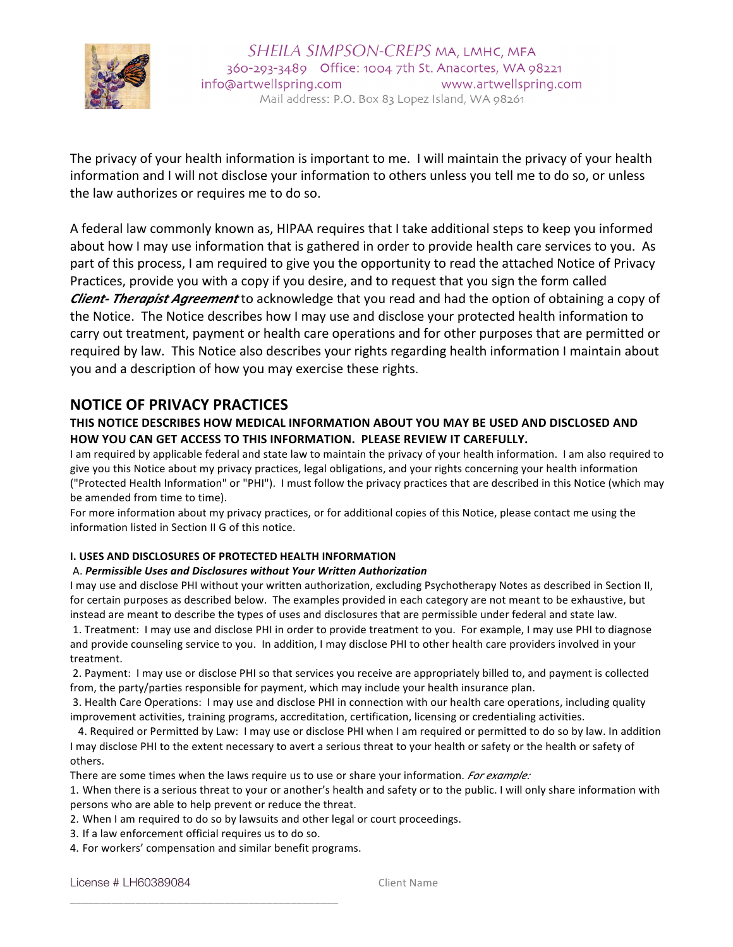

The privacy of your health information is important to me. I will maintain the privacy of your health information and I will not disclose your information to others unless you tell me to do so, or unless the law authorizes or requires me to do so.

A federal law commonly known as, HIPAA requires that I take additional steps to keep you informed about how I may use information that is gathered in order to provide health care services to you. As part of this process, I am required to give you the opportunity to read the attached Notice of Privacy Practices, provide you with a copy if you desire, and to request that you sign the form called **Client- Therapist Agreement** to acknowledge that you read and had the option of obtaining a copy of the Notice. The Notice describes how I may use and disclose your protected health information to carry out treatment, payment or health care operations and for other purposes that are permitted or required by law. This Notice also describes your rights regarding health information I maintain about you and a description of how you may exercise these rights.

# **NOTICE OF PRIVACY PRACTICES**

# THIS NOTICE DESCRIBES HOW MEDICAL INFORMATION ABOUT YOU MAY BE USED AND DISCLOSED AND **HOW YOU CAN GET ACCESS TO THIS INFORMATION. PLEASE REVIEW IT CAREFULLY.**

I am required by applicable federal and state law to maintain the privacy of your health information. I am also required to give you this Notice about my privacy practices, legal obligations, and your rights concerning your health information ("Protected Health Information" or "PHI"). I must follow the privacy practices that are described in this Notice (which may be amended from time to time).

For more information about my privacy practices, or for additional copies of this Notice, please contact me using the information listed in Section II G of this notice.

# **I. USES AND DISCLOSURES OF PROTECTED HEALTH INFORMATION**

### A. *Permissible Uses and Disclosures without Your Written Authorization*

I may use and disclose PHI without your written authorization, excluding Psychotherapy Notes as described in Section II, for certain purposes as described below. The examples provided in each category are not meant to be exhaustive, but instead are meant to describe the types of uses and disclosures that are permissible under federal and state law.

1. Treatment: I may use and disclose PHI in order to provide treatment to you. For example, I may use PHI to diagnose and provide counseling service to you. In addition, I may disclose PHI to other health care providers involved in your treatment. 

2. Payment: I may use or disclose PHI so that services you receive are appropriately billed to, and payment is collected from, the party/parties responsible for payment, which may include your health insurance plan.

3. Health Care Operations: I may use and disclose PHI in connection with our health care operations, including quality improvement activities, training programs, accreditation, certification, licensing or credentialing activities.

4. Required or Permitted by Law: I may use or disclose PHI when I am required or permitted to do so by law. In addition I may disclose PHI to the extent necessary to avert a serious threat to your health or safety or the health or safety of others. 

There are some times when the laws require us to use or share your information. *For example:* 

1. When there is a serious threat to your or another's health and safety or to the public. I will only share information with persons who are able to help prevent or reduce the threat.

2. When I am required to do so by lawsuits and other legal or court proceedings.

3. If a law enforcement official requires us to do so.

\_\_\_\_\_\_\_\_\_\_\_\_\_\_\_\_\_\_\_\_\_\_\_\_\_\_\_\_\_\_\_\_\_\_\_\_\_\_\_\_\_\_\_\_\_

4. For workers' compensation and similar benefit programs.

License # LH60389084 Client Name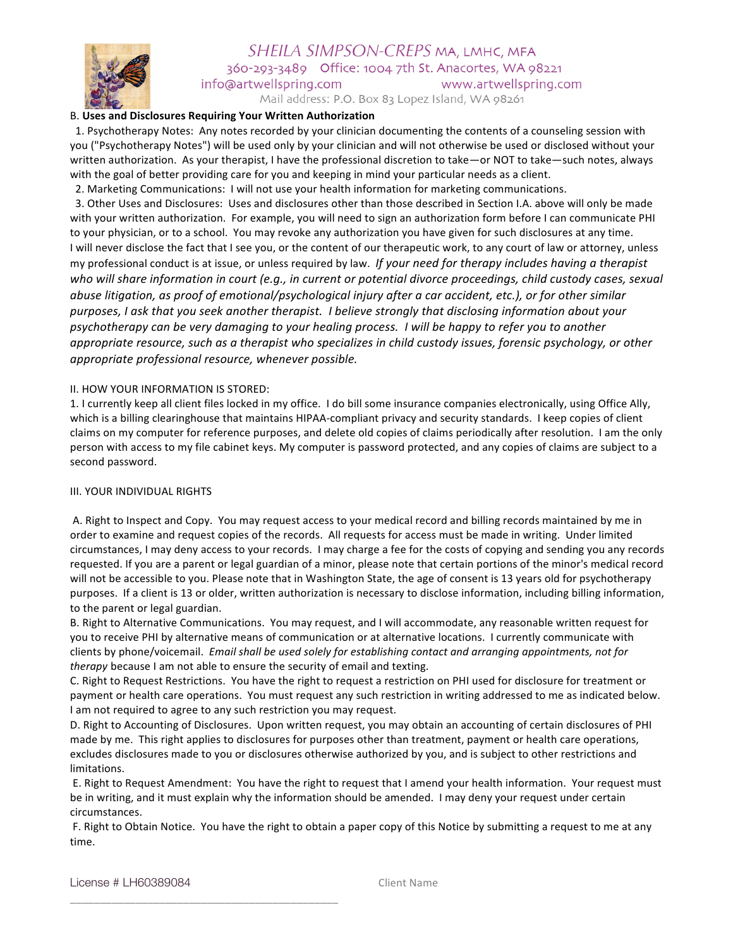

#### SHEILA SIMPSON-CREPS MA, LMHC, MFA 360-293-3489 Office: 1004 7th St. Anacortes, WA 98221 info@artwellspring.com www.artwellspring.com

Mail address: P.O. Box 83 Lopez Island, WA 98261

#### B. **Uses and Disclosures Requiring Your Written Authorization**

1. Psychotherapy Notes: Any notes recorded by your clinician documenting the contents of a counseling session with you ("Psychotherapy Notes") will be used only by your clinician and will not otherwise be used or disclosed without your written authorization. As your therapist, I have the professional discretion to take—or NOT to take—such notes, always with the goal of better providing care for you and keeping in mind your particular needs as a client.

2. Marketing Communications: I will not use your health information for marketing communications. 3. Other Uses and Disclosures: Uses and disclosures other than those described in Section I.A. above will only be made with your written authorization. For example, you will need to sign an authorization form before I can communicate PHI to your physician, or to a school. You may revoke any authorization you have given for such disclosures at any time. I will never disclose the fact that I see you, or the content of our therapeutic work, to any court of law or attorney, unless my professional conduct is at issue, or unless required by law. If your need for therapy includes having a therapist who will share information in court (e.g., in current or potential divorce proceedings, child custody cases, sexual *abuse litigation, as proof of emotional/psychological injury after a car accident, etc.), or for other similar* purposes, I ask that you seek another therapist. I believe strongly that disclosing information about your psychotherapy can be very damaging to your healing process. *I* will be happy to refer you to another *appropriate resource, such as a therapist who specializes in child custody issues, forensic psychology, or other appropriate professional resource, whenever possible.* 

#### II. HOW YOUR INFORMATION IS STORED:

1. I currently keep all client files locked in my office. I do bill some insurance companies electronically, using Office Ally, which is a billing clearinghouse that maintains HIPAA-compliant privacy and security standards. I keep copies of client claims on my computer for reference purposes, and delete old copies of claims periodically after resolution. I am the only person with access to my file cabinet keys. My computer is password protected, and any copies of claims are subject to a second password.

### III. YOUR INDIVIDUAL RIGHTS

A. Right to Inspect and Copy. You may request access to your medical record and billing records maintained by me in order to examine and request copies of the records. All requests for access must be made in writing. Under limited circumstances, I may deny access to your records. I may charge a fee for the costs of copying and sending you any records requested. If you are a parent or legal guardian of a minor, please note that certain portions of the minor's medical record will not be accessible to you. Please note that in Washington State, the age of consent is 13 years old for psychotherapy purposes. If a client is 13 or older, written authorization is necessary to disclose information, including billing information, to the parent or legal guardian.

B. Right to Alternative Communications. You may request, and I will accommodate, any reasonable written request for you to receive PHI by alternative means of communication or at alternative locations. I currently communicate with clients by phone/voicemail. Email shall be used solely for establishing contact and arranging appointments, not for *therapy* because I am not able to ensure the security of email and texting.

C. Right to Request Restrictions. You have the right to request a restriction on PHI used for disclosure for treatment or payment or health care operations. You must request any such restriction in writing addressed to me as indicated below. I am not required to agree to any such restriction you may request.

D. Right to Accounting of Disclosures. Upon written request, you may obtain an accounting of certain disclosures of PHI made by me. This right applies to disclosures for purposes other than treatment, payment or health care operations, excludes disclosures made to you or disclosures otherwise authorized by you, and is subject to other restrictions and limitations. 

E. Right to Request Amendment: You have the right to request that I amend your health information. Your request must be in writing, and it must explain why the information should be amended. I may deny your request under certain circumstances. 

F. Right to Obtain Notice. You have the right to obtain a paper copy of this Notice by submitting a request to me at any time. 

License # LH60389084 Client Name

\_\_\_\_\_\_\_\_\_\_\_\_\_\_\_\_\_\_\_\_\_\_\_\_\_\_\_\_\_\_\_\_\_\_\_\_\_\_\_\_\_\_\_\_\_